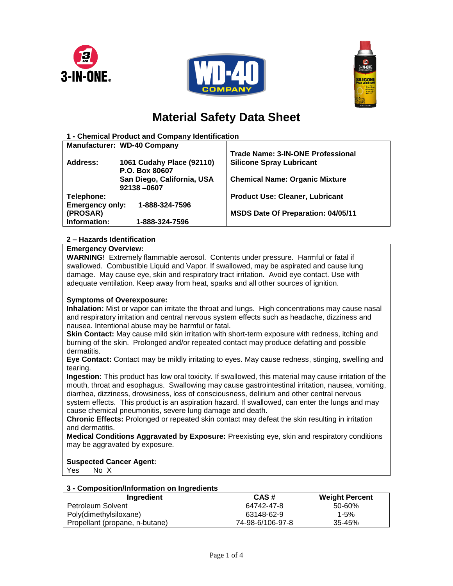





# **Material Safety Data Sheet**

| 1 - Chemical Product and Company Identification |                                    |                                           |  |  |
|-------------------------------------------------|------------------------------------|-------------------------------------------|--|--|
|                                                 | <b>Manufacturer: WD-40 Company</b> |                                           |  |  |
|                                                 |                                    | <b>Trade Name: 3-IN-ONE Professional</b>  |  |  |
| Address:                                        | 1061 Cudahy Place (92110)          | <b>Silicone Spray Lubricant</b>           |  |  |
|                                                 | P.O. Box 80607                     |                                           |  |  |
|                                                 | San Diego, California, USA         | <b>Chemical Name: Organic Mixture</b>     |  |  |
|                                                 | 92138-0607                         |                                           |  |  |
| Telephone:                                      |                                    | <b>Product Use: Cleaner, Lubricant</b>    |  |  |
| <b>Emergency only:</b><br>1-888-324-7596        |                                    |                                           |  |  |
| (PROSAR)                                        |                                    | <b>MSDS Date Of Preparation: 04/05/11</b> |  |  |
| Information:                                    | 1-888-324-7596                     |                                           |  |  |
|                                                 |                                    |                                           |  |  |

# **2 – Hazards Identification**

## **Emergency Overview:**

**WARNING**! Extremely flammable aerosol. Contents under pressure. Harmful or fatal if swallowed. Combustible Liquid and Vapor. If swallowed, may be aspirated and cause lung damage. May cause eye, skin and respiratory tract irritation. Avoid eye contact. Use with adequate ventilation. Keep away from heat, sparks and all other sources of ignition.

# **Symptoms of Overexposure:**

**Inhalation:** Mist or vapor can irritate the throat and lungs. High concentrations may cause nasal and respiratory irritation and central nervous system effects such as headache, dizziness and nausea. Intentional abuse may be harmful or fatal.

**Skin Contact:** May cause mild skin irritation with short-term exposure with redness, itching and burning of the skin. Prolonged and/or repeated contact may produce defatting and possible dermatitis.

**Eye Contact:** Contact may be mildly irritating to eyes. May cause redness, stinging, swelling and tearing.

**Ingestion:** This product has low oral toxicity. If swallowed, this material may cause irritation of the mouth, throat and esophagus. Swallowing may cause gastrointestinal irritation, nausea, vomiting, diarrhea, dizziness, drowsiness, loss of consciousness, delirium and other central nervous system effects. This product is an aspiration hazard. If swallowed, can enter the lungs and may cause chemical pneumonitis, severe lung damage and death.

**Chronic Effects:** Prolonged or repeated skin contact may defeat the skin resulting in irritation and dermatitis.

**Medical Conditions Aggravated by Exposure:** Preexisting eye, skin and respiratory conditions may be aggravated by exposure.

# **Suspected Cancer Agent:**

Yes No X

## **3 - Composition/Information on Ingredients**

| Ingredient                     | CAS#             | <b>Weight Percent</b> |
|--------------------------------|------------------|-----------------------|
| Petroleum Solvent              | 64742-47-8       | 50-60%                |
| Poly(dimethylsiloxane)         | 63148-62-9       | $1 - 5%$              |
| Propellant (propane, n-butane) | 74-98-6/106-97-8 | 35-45%                |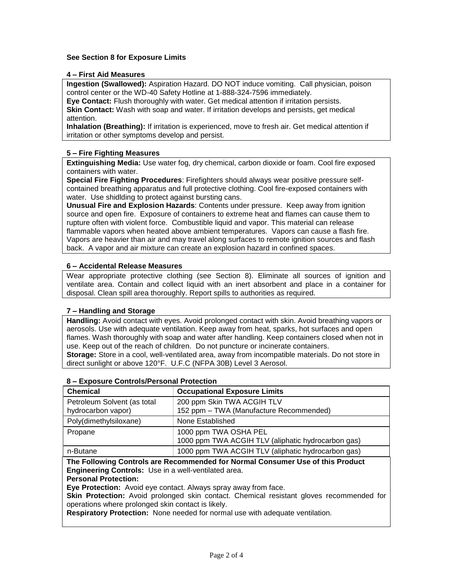# **See Section 8 for Exposure Limits**

## **4 – First Aid Measures**

**Ingestion (Swallowed):** Aspiration Hazard. DO NOT induce vomiting. Call physician, poison control center or the WD-40 Safety Hotline at 1-888-324-7596 immediately.

**Eye Contact:** Flush thoroughly with water. Get medical attention if irritation persists. **Skin Contact:** Wash with soap and water. If irritation develops and persists, get medical attention.

**Inhalation (Breathing):** If irritation is experienced, move to fresh air. Get medical attention if irritation or other symptoms develop and persist.

## **5 – Fire Fighting Measures**

**Extinguishing Media:** Use water fog, dry chemical, carbon dioxide or foam. Cool fire exposed containers with water.

**Special Fire Fighting Procedures**: Firefighters should always wear positive pressure selfcontained breathing apparatus and full protective clothing. Cool fire-exposed containers with water. Use shidlding to protect against bursting cans.

**Unusual Fire and Explosion Hazards**: Contents under pressure. Keep away from ignition source and open fire. Exposure of containers to extreme heat and flames can cause them to rupture often with violent force. Combustible liquid and vapor. This material can release flammable vapors when heated above ambient temperatures. Vapors can cause a flash fire. Vapors are heavier than air and may travel along surfaces to remote ignition sources and flash back. A vapor and air mixture can create an explosion hazard in confined spaces.

## **6 – Accidental Release Measures**

Wear appropriate protective clothing (see Section 8). Eliminate all sources of ignition and ventilate area. Contain and collect liquid with an inert absorbent and place in a container for disposal. Clean spill area thoroughly. Report spills to authorities as required.

## **7 – Handling and Storage**

**Handling:** Avoid contact with eyes. Avoid prolonged contact with skin. Avoid breathing vapors or aerosols. Use with adequate ventilation. Keep away from heat, sparks, hot surfaces and open flames. Wash thoroughly with soap and water after handling. Keep containers closed when not in use. Keep out of the reach of children. Do not puncture or incinerate containers. **Storage:** Store in a cool, well-ventilated area, away from incompatible materials. Do not store in direct sunlight or above 120°F. U.F.C (NFPA 30B) Level 3 Aerosol.

| <b>Chemical</b>                                   | <b>Occupational Exposure Limits</b>                                         |
|---------------------------------------------------|-----------------------------------------------------------------------------|
| Petroleum Solvent (as total<br>hydrocarbon vapor) | 200 ppm Skin TWA ACGIH TLV<br>152 ppm - TWA (Manufacture Recommended)       |
| Poly(dimethylsiloxane)                            | None Established                                                            |
| Propane                                           | 1000 ppm TWA OSHA PEL<br>1000 ppm TWA ACGIH TLV (aliphatic hydrocarbon gas) |
| n-Butane                                          | 1000 ppm TWA ACGIH TLV (aliphatic hydrocarbon gas)                          |

## **8 – Exposure Controls/Personal Protection**

**The Following Controls are Recommended for Normal Consumer Use of this Product Engineering Controls:** Use in a well-ventilated area.

## **Personal Protection:**

**Eye Protection:** Avoid eye contact. Always spray away from face.

**Skin Protection:** Avoid prolonged skin contact. Chemical resistant gloves recommended for operations where prolonged skin contact is likely.

**Respiratory Protection:** None needed for normal use with adequate ventilation.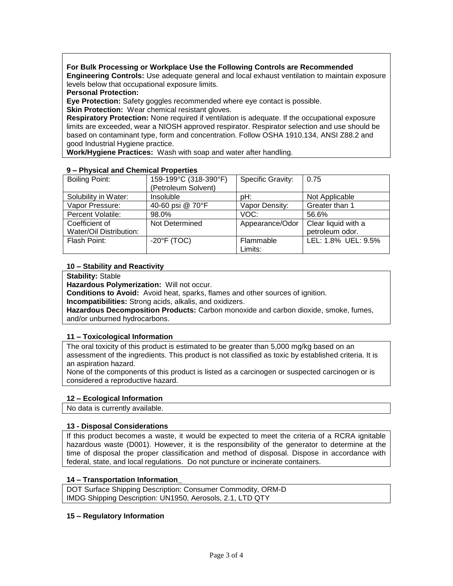# **For Bulk Processing or Workplace Use the Following Controls are Recommended**

**Engineering Controls:** Use adequate general and local exhaust ventilation to maintain exposure levels below that occupational exposure limits.

**Personal Protection:**

**Eye Protection:** Safety goggles recommended where eye contact is possible.

**Skin Protection:** Wear chemical resistant gloves.

**Respiratory Protection:** None required if ventilation is adequate. If the occupational exposure limits are exceeded, wear a NIOSH approved respirator. Respirator selection and use should be based on contaminant type, form and concentration. Follow OSHA 1910.134, ANSI Z88.2 and good Industrial Hygiene practice.

**Work/Hygiene Practices:** Wash with soap and water after handling.

| $3 - i$ rivaluation of chemical Floperines |                       |                   |                     |  |  |  |
|--------------------------------------------|-----------------------|-------------------|---------------------|--|--|--|
| Boiling Point:                             | 159-199°C (318-390°F) | Specific Gravity: | 0.75                |  |  |  |
|                                            | (Petroleum Solvent)   |                   |                     |  |  |  |
| Solubility in Water:                       | Insoluble             | pH:               | Not Applicable      |  |  |  |
| Vapor Pressure:                            | 40-60 psi @ 70°F      | Vapor Density:    | Greater than 1      |  |  |  |
| Percent Volatile:                          | 98.0%                 | VOC:              | 56.6%               |  |  |  |
| Coefficient of                             | Not Determined        | Appearance/Odor   | Clear liquid with a |  |  |  |
| Water/Oil Distribution:                    |                       |                   | petroleum odor.     |  |  |  |
| Flash Point:                               | $-20^{\circ}$ F (TOC) | Flammable         | LEL: 1.8% UEL: 9.5% |  |  |  |
|                                            |                       | Limits:           |                     |  |  |  |

## **9 – Physical and Chemical Properties**

# **10 – Stability and Reactivity**

**Stability:** Stable

**Hazardous Polymerization:** Will not occur.

**Conditions to Avoid:** Avoid heat, sparks, flames and other sources of ignition.

**Incompatibilities:** Strong acids, alkalis, and oxidizers.

**Hazardous Decomposition Products:** Carbon monoxide and carbon dioxide, smoke, fumes, and/or unburned hydrocarbons.

## **11 – Toxicological Information**

The oral toxicity of this product is estimated to be greater than 5,000 mg/kg based on an assessment of the ingredients. This product is not classified as toxic by established criteria. It is an aspiration hazard.

None of the components of this product is listed as a carcinogen or suspected carcinogen or is considered a reproductive hazard.

## **12 – Ecological Information**

No data is currently available.

## **13 - Disposal Considerations**

If this product becomes a waste, it would be expected to meet the criteria of a RCRA ignitable hazardous waste (D001). However, it is the responsibility of the generator to determine at the time of disposal the proper classification and method of disposal. Dispose in accordance with federal, state, and local regulations. Do not puncture or incinerate containers.

## **14 – Transportation Information\_**

DOT Surface Shipping Description: Consumer Commodity, ORM-D IMDG Shipping Description: UN1950, Aerosols, 2.1, LTD QTY

## **15 – Regulatory Information**